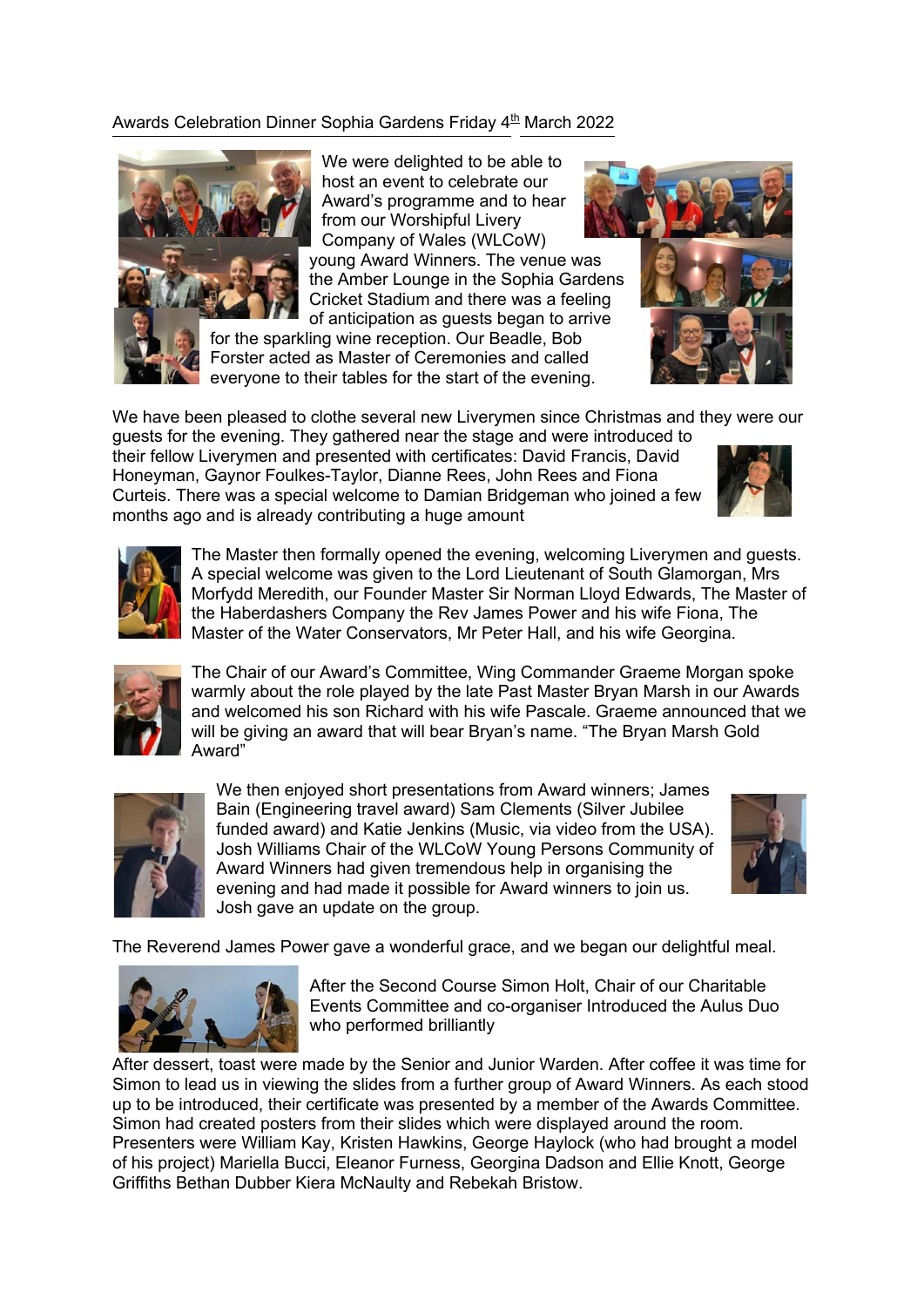## Awards Celebration Dinner Sophia Gardens Friday 4<sup>th</sup> March 2022



We were delighted to be able to host an event to celebrate our Award's programme and to hear from our Worshipful Livery Company of Wales (WLCoW) young Award Winners. The venue was the Amber Lounge in the Sophia Gardens Cricket Stadium and there was a feeling of anticipation as guests began to arrive

for the sparkling wine reception. Our Beadle, Bob Forster acted as Master of Ceremonies and called everyone to their tables for the start of the evening.



We have been pleased to clothe several new Liverymen since Christmas and they were our

guests for the evening. They gathered near the stage and were introduced to their fellow Liverymen and presented with certificates: David Francis, David Honeyman, Gaynor Foulkes-Taylor, Dianne Rees, John Rees and Fiona Curteis. There was a special welcome to Damian Bridgeman who joined a few months ago and is already contributing a huge amount





The Master then formally opened the evening, welcoming Liverymen and guests. A special welcome was given to the Lord Lieutenant of South Glamorgan, Mrs Morfydd Meredith, our Founder Master Sir Norman Lloyd Edwards, The Master of the Haberdashers Company the Rev James Power and his wife Fiona, The Master of the Water Conservators, Mr Peter Hall, and his wife Georgina.



The Chair of our Award's Committee, Wing Commander Graeme Morgan spoke warmly about the role played by the late Past Master Bryan Marsh in our Awards and welcomed his son Richard with his wife Pascale. Graeme announced that we will be giving an award that will bear Bryan's name. "The Bryan Marsh Gold Award"



We then enjoyed short presentations from Award winners; James Bain (Engineering travel award) Sam Clements (Silver Jubilee funded award) and Katie Jenkins (Music, via video from the USA). Josh Williams Chair of the WLCoW Young Persons Community of Award Winners had given tremendous help in organising the evening and had made it possible for Award winners to join us. Josh gave an update on the group.



The Reverend James Power gave a wonderful grace, and we began our delightful meal.



After the Second Course Simon Holt, Chair of our Charitable Events Committee and co-organiser Introduced the Aulus Duo who performed brilliantly

After dessert, toast were made by the Senior and Junior Warden. After coffee it was time for Simon to lead us in viewing the slides from a further group of Award Winners. As each stood up to be introduced, their certificate was presented by a member of the Awards Committee. Simon had created posters from their slides which were displayed around the room. Presenters were William Kay, Kristen Hawkins, George Haylock (who had brought a model of his project) Mariella Bucci, Eleanor Furness, Georgina Dadson and Ellie Knott, George Griffiths Bethan Dubber Kiera McNaulty and Rebekah Bristow.